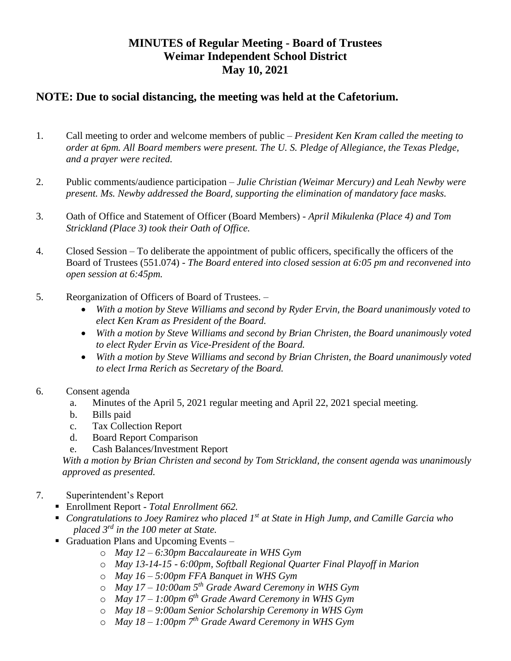## **MINUTES of Regular Meeting - Board of Trustees Weimar Independent School District May 10, 2021**

## **NOTE: Due to social distancing, the meeting was held at the Cafetorium.**

- 1. Call meeting to order and welcome members of public *President Ken Kram called the meeting to order at 6pm. All Board members were present. The U. S. Pledge of Allegiance, the Texas Pledge, and a prayer were recited.*
- 2. Public comments/audience participation *Julie Christian (Weimar Mercury) and Leah Newby were present. Ms. Newby addressed the Board, supporting the elimination of mandatory face masks.*
- 3. Oath of Office and Statement of Officer (Board Members) *April Mikulenka (Place 4) and Tom Strickland (Place 3) took their Oath of Office.*
- 4. Closed Session To deliberate the appointment of public officers, specifically the officers of the Board of Trustees (551.074) - *The Board entered into closed session at 6:05 pm and reconvened into open session at 6:45pm.*
- 5. Reorganization of Officers of Board of Trustees. *–*
	- *With a motion by Steve Williams and second by Ryder Ervin, the Board unanimously voted to elect Ken Kram as President of the Board.*
	- *With a motion by Steve Williams and second by Brian Christen, the Board unanimously voted to elect Ryder Ervin as Vice-President of the Board.*
	- *With a motion by Steve Williams and second by Brian Christen, the Board unanimously voted to elect Irma Rerich as Secretary of the Board.*
- 6. Consent agenda
	- a. Minutes of the April 5, 2021 regular meeting and April 22, 2021 special meeting.
	- b. Bills paid
	- c. Tax Collection Report
	- d. Board Report Comparison
	- e. Cash Balances/Investment Report

*With a motion by Brian Christen and second by Tom Strickland, the consent agenda was unanimously approved as presented.*

- 7. Superintendent's Report
	- Enrollment Report *- Total Enrollment 662.*
	- *Congratulations to Joey Ramirez who placed 1<sup>st</sup> at State in High Jump, and Camille Garcia who placed 3rd in the 100 meter at State.*
	- Graduation Plans and Upcoming Events *–*
		- o *May 12 – 6:30pm Baccalaureate in WHS Gym*
		- o *May 13-14-15 - 6:00pm, Softball Regional Quarter Final Playoff in Marion*
		- o *May 16 – 5:00pm FFA Banquet in WHS Gym*
		- o *May 17 – 10:00am 5th Grade Award Ceremony in WHS Gym*
		- o *May 17 – 1:00pm 6th Grade Award Ceremony in WHS Gym*
		- o *May 18 – 9:00am Senior Scholarship Ceremony in WHS Gym*
		- o *May 18 – 1:00pm 7th Grade Award Ceremony in WHS Gym*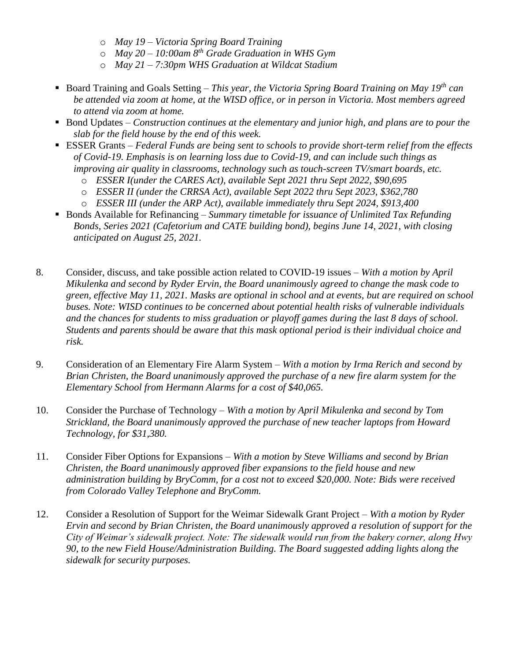- o *May 19 – Victoria Spring Board Training*
- o *May 20 – 10:00am 8th Grade Graduation in WHS Gym*
- o *May 21 – 7:30pm WHS Graduation at Wildcat Stadium*
- Board Training and Goals Setting  *This year, the Victoria Spring Board Training on May 19<sup>th</sup> can be attended via zoom at home, at the WISD office, or in person in Victoria. Most members agreed to attend via zoom at home.*
- **Bond Updates** *Construction continues at the elementary and junior high, and plans are to pour the slab for the field house by the end of this week.*
- ESSER Grants *Federal Funds are being sent to schools to provide short-term relief from the effects of Covid-19. Emphasis is on learning loss due to Covid-19, and can include such things as improving air quality in classrooms, technology such as touch-screen TV/smart boards, etc.*
	- o *ESSER I(under the CARES Act), available Sept 2021 thru Sept 2022, \$90,695*
	- o *ESSER II (under the CRRSA Act), available Sept 2022 thru Sept 2023, \$362,780*
	- o *ESSER III (under the ARP Act), available immediately thru Sept 2024, \$913,400*
- Bonds Available for Refinancing *Summary timetable for issuance of Unlimited Tax Refunding Bonds, Series 2021 (Cafetorium and CATE building bond), begins June 14, 2021, with closing anticipated on August 25, 2021.*
- 8. Consider, discuss, and take possible action related to COVID-19 issues *– With a motion by April Mikulenka and second by Ryder Ervin, the Board unanimously agreed to change the mask code to green, effective May 11, 2021. Masks are optional in school and at events, but are required on school buses. Note: WISD continues to be concerned about potential health risks of vulnerable individuals and the chances for students to miss graduation or playoff games during the last 8 days of school. Students and parents should be aware that this mask optional period is their individual choice and risk.*
- 9. Consideration of an Elementary Fire Alarm System *With a motion by Irma Rerich and second by Brian Christen, the Board unanimously approved the purchase of a new fire alarm system for the Elementary School from Hermann Alarms for a cost of \$40,065.*
- 10. Consider the Purchase of Technology *With a motion by April Mikulenka and second by Tom Strickland, the Board unanimously approved the purchase of new teacher laptops from Howard Technology, for \$31,380.*
- 11. Consider Fiber Options for Expansions *With a motion by Steve Williams and second by Brian Christen, the Board unanimously approved fiber expansions to the field house and new administration building by BryComm, for a cost not to exceed \$20,000. Note: Bids were received from Colorado Valley Telephone and BryComm.*
- 12. Consider a Resolution of Support for the Weimar Sidewalk Grant Project *With a motion by Ryder Ervin and second by Brian Christen, the Board unanimously approved a resolution of support for the City of Weimar's sidewalk project. Note: The sidewalk would run from the bakery corner, along Hwy 90, to the new Field House/Administration Building. The Board suggested adding lights along the sidewalk for security purposes.*